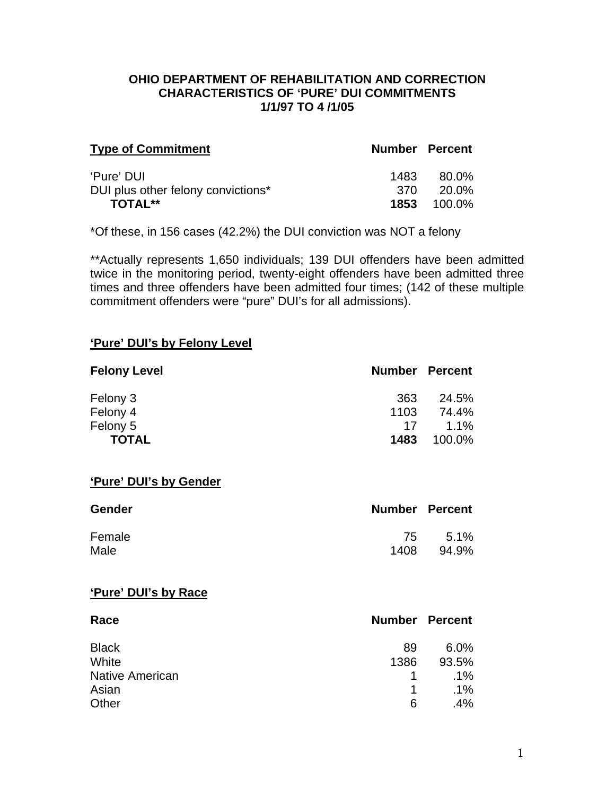#### **OHIO DEPARTMENT OF REHABILITATION AND CORRECTION CHARACTERISTICS OF 'PURE' DUI COMMITMENTS 1/1/97 TO 4 /1/05**

| <b>Type of Commitment</b>          |       | <b>Number Percent</b> |
|------------------------------------|-------|-----------------------|
| 'Pure' DUI                         | 1483  | -80.0%                |
| DUI plus other felony convictions* | -370. | - 20.0%               |
| <b>TOTAL**</b>                     |       | <b>1853</b> 100.0%    |

\*Of these, in 156 cases (42.2%) the DUI conviction was NOT a felony

\*\*Actually represents 1,650 individuals; 139 DUI offenders have been admitted twice in the monitoring period, twenty-eight offenders have been admitted three times and three offenders have been admitted four times; (142 of these multiple commitment offenders were "pure" DUI's for all admissions).

#### **'Pure' DUI's by Felony Level**

| <b>Felony Level</b> | <b>Number Percent</b> |         |
|---------------------|-----------------------|---------|
| Felony 3            | 363                   | 24.5%   |
| Felony 4            | 1103                  | 74.4%   |
| Felony 5            | 17                    | $1.1\%$ |
| <b>TOTAL</b>        | 1483                  | 100.0%  |

#### **'Pure' DUI's by Gender**

| <b>Gender</b> | <b>Number Percent</b> |         |
|---------------|-----------------------|---------|
| Female        |                       | 75 5.1% |
| Male          | 1408                  | 94.9%   |

#### **'Pure' DUI's by Race**

| Race                   |      | <b>Number Percent</b> |
|------------------------|------|-----------------------|
| <b>Black</b>           | 89   | $6.0\%$               |
| White                  | 1386 | 93.5%                 |
| <b>Native American</b> | 1.   | $.1\%$                |
| Asian                  | 1    | $.1\%$                |
| Other                  | 6    | $.4\%$                |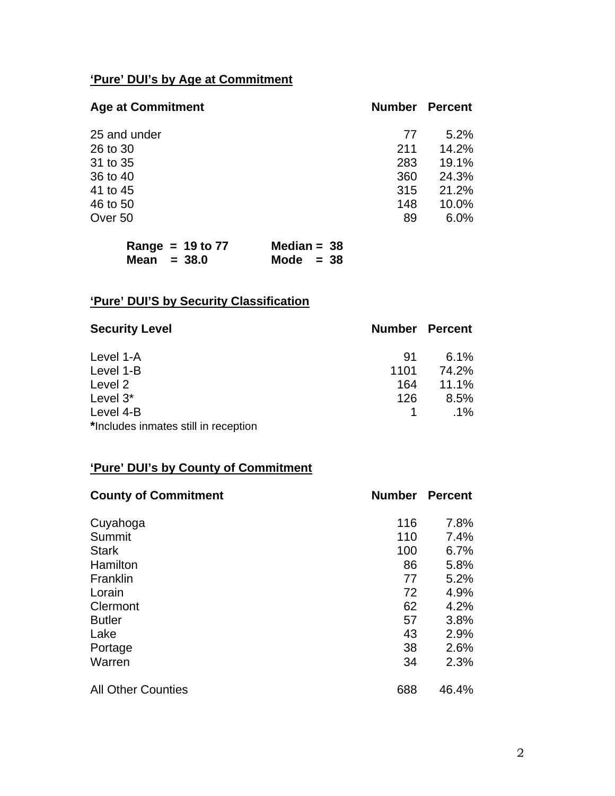# **'Pure' DUI's by Age at Commitment**

| <b>Age at Commitment</b> | <b>Number</b> | <b>Percent</b> |
|--------------------------|---------------|----------------|
| 25 and under             | 77            | 5.2%           |
| 26 to 30                 | 211           | 14.2%          |
| 31 to 35                 | 283           | 19.1%          |
| 36 to 40                 | 360           | 24.3%          |
| 41 to 45                 | 315           | 21.2%          |
| 46 to 50                 | 148           | 10.0%          |
| Over 50                  | 89            | 6.0%           |
|                          |               |                |

| Range = $19$ to $77$ | Median = $38$ |
|----------------------|---------------|
| Mean $= 38.0$        | Mode $= 38$   |

# **'Pure' DUI'S by Security Classification**

| <b>Security Level</b>                | <b>Number Percent</b> |        |
|--------------------------------------|-----------------------|--------|
| Level 1-A                            | .91                   | 6.1%   |
| Level 1-B                            | 1101                  | 74.2%  |
| Level 2                              | 164                   | 11.1%  |
| Level 3*                             | 126                   | 8.5%   |
| Level 4-B                            |                       | $.1\%$ |
| *Includes inmates still in reception |                       |        |

# **'Pure' DUI's by County of Commitment**

| <b>County of Commitment</b> | <b>Number</b> | <b>Percent</b> |
|-----------------------------|---------------|----------------|
| Cuyahoga                    | 116           | 7.8%           |
| Summit                      | 110           | 7.4%           |
| <b>Stark</b>                | 100           | 6.7%           |
| Hamilton                    | 86            | 5.8%           |
| Franklin                    | 77            | 5.2%           |
| Lorain                      | 72            | 4.9%           |
| Clermont                    | 62            | 4.2%           |
| <b>Butler</b>               | 57            | 3.8%           |
| Lake                        | 43            | 2.9%           |
| Portage                     | 38            | 2.6%           |
| Warren                      | 34            | 2.3%           |
| <b>All Other Counties</b>   | 688           | 46.4%          |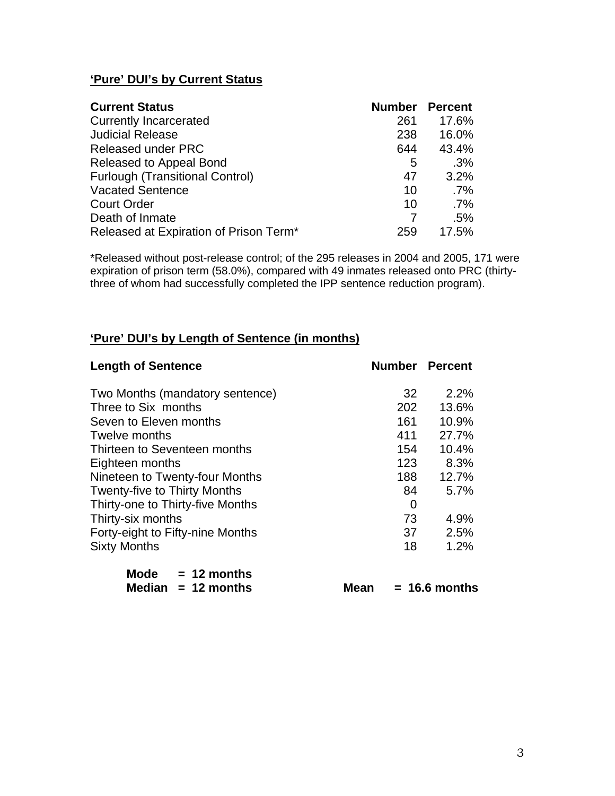## **'Pure' DUI's by Current Status**

| <b>Current Status</b>                  | <b>Number</b> | <b>Percent</b> |
|----------------------------------------|---------------|----------------|
| <b>Currently Incarcerated</b>          | 261           | 17.6%          |
| <b>Judicial Release</b>                | 238           | 16.0%          |
| <b>Released under PRC</b>              | 644           | 43.4%          |
| Released to Appeal Bond                | 5             | .3%            |
| <b>Furlough (Transitional Control)</b> | 47            | 3.2%           |
| <b>Vacated Sentence</b>                | 10            | $.7\%$         |
| <b>Court Order</b>                     | 10            | $.7\%$         |
| Death of Inmate                        |               | .5%            |
| Released at Expiration of Prison Term* | 259           | 17.5%          |

\*Released without post-release control; of the 295 releases in 2004 and 2005, 171 were expiration of prison term (58.0%), compared with 49 inmates released onto PRC (thirtythree of whom had successfully completed the IPP sentence reduction program).

### **'Pure' DUI's by Length of Sentence (in months)**

| <b>Length of Sentence</b>           |     | <b>Number Percent</b> |
|-------------------------------------|-----|-----------------------|
| Two Months (mandatory sentence)     | 32  | $2.2\%$               |
| Three to Six months                 | 202 | 13.6%                 |
| Seven to Eleven months              | 161 | 10.9%                 |
| Twelve months                       | 411 | 27.7%                 |
| Thirteen to Seventeen months        | 154 | 10.4%                 |
| Eighteen months                     | 123 | 8.3%                  |
| Nineteen to Twenty-four Months      | 188 | 12.7%                 |
| <b>Twenty-five to Thirty Months</b> | 84  | 5.7%                  |
| Thirty-one to Thirty-five Months    | 0   |                       |
| Thirty-six months                   | 73  | 4.9%                  |
| Forty-eight to Fifty-nine Months    | 37  | 2.5%                  |
| <b>Sixty Months</b>                 | 18  | 1.2%                  |
| $M - 1 -$<br>40 --------            |     |                       |

| Mode | $= 12$ months        |
|------|----------------------|
|      | Median $= 12$ months |

**Mean = 16.6 months**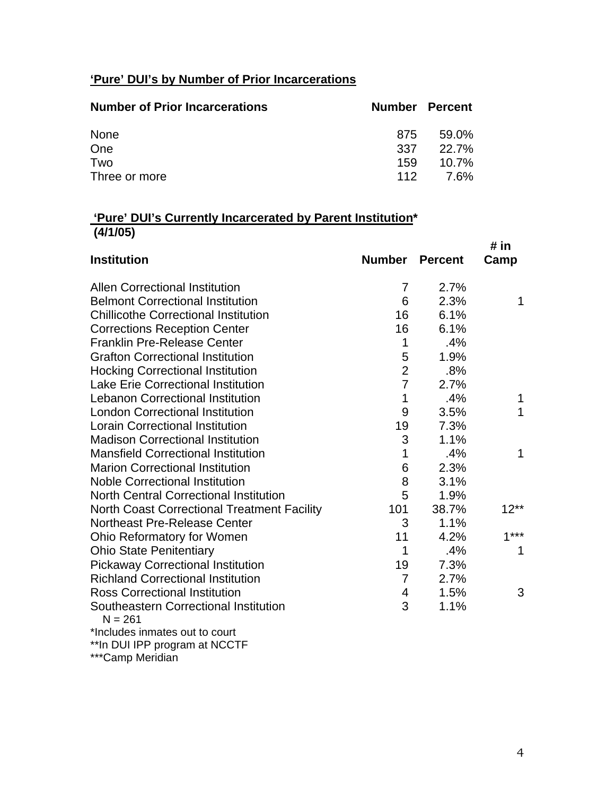# **'Pure' DUI's by Number of Prior Incarcerations**

| <b>Number of Prior Incarcerations</b> | Number Percent |              |
|---------------------------------------|----------------|--------------|
| None                                  | 875            | 59.0%        |
| One                                   | 337            | <b>22.7%</b> |
| Two                                   | 159            | $10.7\%$     |
| Three or more                         | 112            | 7.6%         |

## **'Pure' DUI's Currently Incarcerated by Parent Institution\* (4/1/05)**

|                                                    |                |                | # in   |
|----------------------------------------------------|----------------|----------------|--------|
| <b>Institution</b>                                 | <b>Number</b>  | <b>Percent</b> | Camp   |
| <b>Allen Correctional Institution</b>              | 7              | 2.7%           |        |
| <b>Belmont Correctional Institution</b>            | 6              | 2.3%           | 1      |
| <b>Chillicothe Correctional Institution</b>        | 16             | 6.1%           |        |
| <b>Corrections Reception Center</b>                | 16             | 6.1%           |        |
| <b>Franklin Pre-Release Center</b>                 | 1              | .4%            |        |
| <b>Grafton Correctional Institution</b>            | 5              | 1.9%           |        |
| <b>Hocking Correctional Institution</b>            | $\overline{2}$ | .8%            |        |
| <b>Lake Erie Correctional Institution</b>          | $\overline{7}$ | 2.7%           |        |
| <b>Lebanon Correctional Institution</b>            | 1              | .4%            | 1      |
| <b>London Correctional Institution</b>             | 9              | 3.5%           | 1      |
| <b>Lorain Correctional Institution</b>             | 19             | 7.3%           |        |
| <b>Madison Correctional Institution</b>            | 3              | 1.1%           |        |
| <b>Mansfield Correctional Institution</b>          | 1              | .4%            | 1      |
| <b>Marion Correctional Institution</b>             | 6              | 2.3%           |        |
| <b>Noble Correctional Institution</b>              | 8              | 3.1%           |        |
| <b>North Central Correctional Institution</b>      | 5              | 1.9%           |        |
| <b>North Coast Correctional Treatment Facility</b> | 101            | 38.7%          | $12**$ |
| <b>Northeast Pre-Release Center</b>                | 3              | 1.1%           |        |
| Ohio Reformatory for Women                         | 11             | 4.2%           | $1***$ |
| <b>Ohio State Penitentiary</b>                     | 1              | .4%            | 1      |
| <b>Pickaway Correctional Institution</b>           | 19             | 7.3%           |        |
| <b>Richland Correctional Institution</b>           | $\overline{7}$ | 2.7%           |        |
| <b>Ross Correctional Institution</b>               | 4              | 1.5%           | 3      |
| Southeastern Correctional Institution<br>$N = 261$ | 3              | 1.1%           |        |
| *Includes inmates out to court                     |                |                |        |
| **In DUI IPP program at NCCTF                      |                |                |        |

\*\*\*Camp Meridian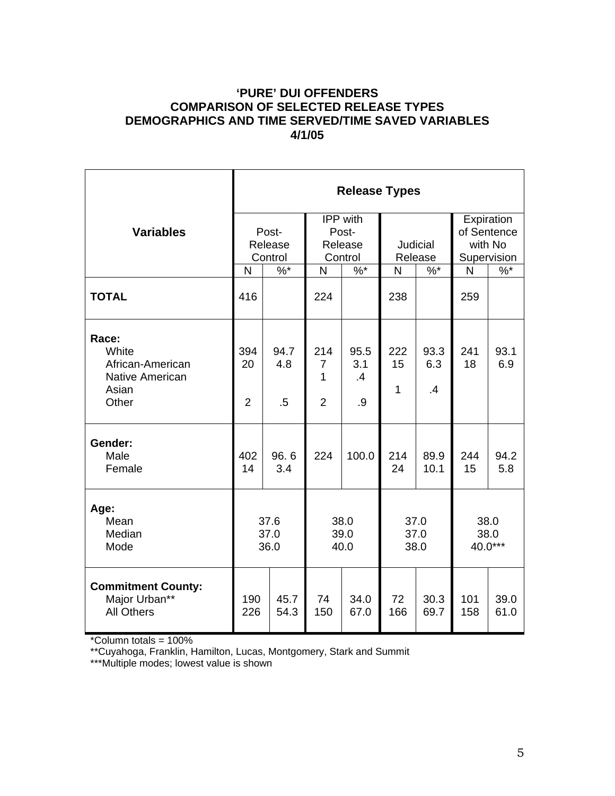## **'PURE' DUI OFFENDERS COMPARISON OF SELECTED RELEASE TYPES DEMOGRAPHICS AND TIME SERVED/TIME SAVED VARIABLES 4/1/05**

|                                                                                |                             |                       |                                              | <b>Release Types</b>    |                            |                              |                                                     |               |
|--------------------------------------------------------------------------------|-----------------------------|-----------------------|----------------------------------------------|-------------------------|----------------------------|------------------------------|-----------------------------------------------------|---------------|
| <b>Variables</b>                                                               | Post-<br>Release<br>Control |                       | IPP with<br>Post-<br>Release<br>Control      |                         | <b>Judicial</b><br>Release |                              | Expiration<br>of Sentence<br>with No<br>Supervision |               |
|                                                                                | $\%$ *<br>N                 |                       | $%^*$<br>$\mathsf{N}$                        |                         | $%$ *<br>N                 |                              | N                                                   | $\frac{9}{6}$ |
| <b>TOTAL</b>                                                                   | 416                         |                       | 224                                          |                         | 238                        |                              | 259                                                 |               |
| Race:<br>White<br>African-American<br><b>Native American</b><br>Asian<br>Other | 394<br>20<br>$\overline{2}$ | 94.7<br>4.8<br>$.5\,$ | 214<br>$\overline{7}$<br>1<br>$\overline{2}$ | 95.5<br>3.1<br>.4<br>.9 | 222<br>15<br>1             | 93.3<br>6.3<br>$\mathbf{.4}$ | 241<br>18                                           | 93.1<br>6.9   |
| Gender:<br>Male<br>Female                                                      | 402<br>14                   | 96.6<br>3.4           | 224                                          | 100.0                   | 214<br>24                  | 89.9<br>10.1                 | 244<br>15                                           | 94.2<br>5.8   |
| Age:<br>Mean<br>Median<br>Mode                                                 | 37.6<br>37.0<br>36.0        |                       | 38.0<br>39.0<br>40.0                         |                         | 37.0<br>37.0<br>38.0       |                              | 38.0<br>38.0<br>40.0***                             |               |
| <b>Commitment County:</b><br>Major Urban**<br><b>All Others</b>                | 190<br>226                  | 45.7<br>54.3          | 74<br>150                                    | 34.0<br>67.0            | 72<br>166                  | 30.3<br>69.7                 | 101<br>158                                          | 39.0<br>61.0  |

\*Column totals = 100%

\*\*Cuyahoga, Franklin, Hamilton, Lucas, Montgomery, Stark and Summit

\*\*\*Multiple modes; lowest value is shown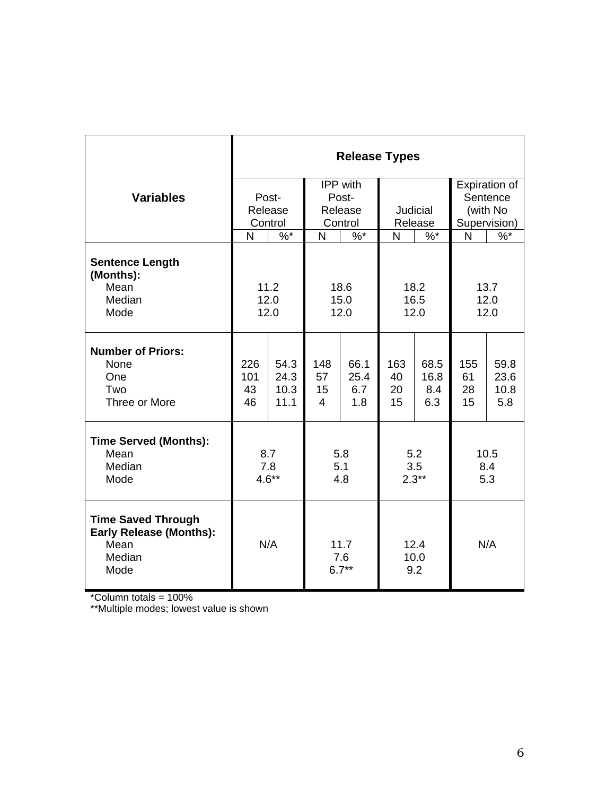|                                                                                       | <b>Release Types</b>   |                              |                                   |                                               |                       |                            |                       |                             |  |
|---------------------------------------------------------------------------------------|------------------------|------------------------------|-----------------------------------|-----------------------------------------------|-----------------------|----------------------------|-----------------------|-----------------------------|--|
|                                                                                       |                        |                              |                                   | IPP with                                      |                       |                            | Expiration of         |                             |  |
| <b>Variables</b>                                                                      | Post-                  |                              | Post-                             |                                               |                       |                            | Sentence              |                             |  |
|                                                                                       |                        | Release                      |                                   | Release                                       |                       | Judicial                   |                       | (with No                    |  |
|                                                                                       | Control                |                              | Control                           |                                               | Release               |                            |                       | Supervision)                |  |
|                                                                                       | N                      | $%^*$                        | N                                 | $%^*$                                         | N<br>$%^*$            |                            | N                     | $%^*$                       |  |
| <b>Sentence Length</b><br>(Months):<br>Mean<br>Median                                 |                        | 11.2<br>12.0                 |                                   | 18.6<br>15.0                                  | 18.2<br>16.5          |                            | 13.7<br>12.0          |                             |  |
| Mode                                                                                  | 12.0                   |                              | 12.0                              |                                               | 12.0                  |                            | 12.0                  |                             |  |
| <b>Number of Priors:</b><br>None<br>One<br>Two<br>Three or More                       | 226<br>101<br>43<br>46 | 54.3<br>24.3<br>10.3<br>11.1 | 148<br>57<br>15<br>$\overline{4}$ | 66.1<br>25.4<br>6.7<br>1.8                    | 163<br>40<br>20<br>15 | 68.5<br>16.8<br>8.4<br>6.3 | 155<br>61<br>28<br>15 | 59.8<br>23.6<br>10.8<br>5.8 |  |
| <b>Time Served (Months):</b>                                                          |                        |                              |                                   |                                               |                       |                            |                       |                             |  |
| Mean<br>Median<br>Mode                                                                | 8.7<br>7.8<br>$4.6**$  |                              | 5.8<br>5.1<br>4.8                 |                                               | 5.2<br>3.5<br>$2.3**$ |                            | 10.5<br>8.4<br>5.3    |                             |  |
| <b>Time Saved Through</b><br><b>Early Release (Months):</b><br>Mean<br>Median<br>Mode |                        | N/A                          |                                   | 12.4<br>11.7<br>10.0<br>7.6<br>$6.7**$<br>9.2 |                       | N/A                        |                       |                             |  |

\*Column totals = 100%

\*\*Multiple modes; lowest value is shown